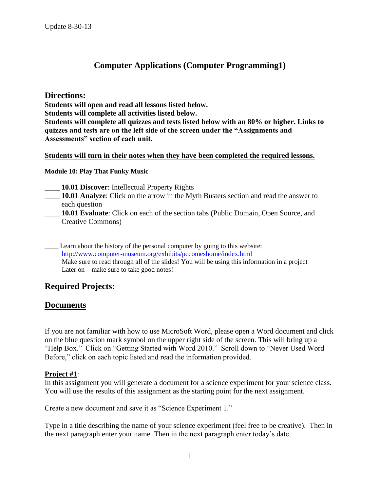# **Computer Applications (Computer Programming1)**

## **Directions:**

**Students will open and read all lessons listed below.**

**Students will complete all activities listed below.** 

**Students will complete all quizzes and tests listed below with an 80% or higher. Links to quizzes and tests are on the left side of the screen under the "Assignments and Assessments" section of each unit.** 

#### **Students will turn in their notes when they have been completed the required lessons.**

#### **Module 10: Play That Funky Music**

- 10.01 Discover: Intellectual Property Rights
- \_\_\_\_ **10.01 Analyze**: Click on the arrow in the Myth Busters section and read the answer to each question
- \_\_\_\_ **10.01 Evaluate**: Click on each of the section tabs (Public Domain, Open Source, and Creative Commons)
- Learn about the history of the personal computer by going to this website: <http://www.computer-museum.org/exhibits/pccomeshome/index.html> Make sure to read through all of the slides! You will be using this information in a project Later on – make sure to take good notes!

# **Required Projects:**

# **Documents**

If you are not familiar with how to use MicroSoft Word, please open a Word document and click on the blue question mark symbol on the upper right side of the screen. This will bring up a "Help Box." Click on "Getting Started with Word 2010." Scroll down to "Never Used Word Before," click on each topic listed and read the information provided.

### **Project #1**:

In this assignment you will generate a document for a science experiment for your science class. You will use the results of this assignment as the starting point for the next assignment.

Create a new document and save it as "Science Experiment 1."

Type in a title describing the name of your science experiment (feel free to be creative). Then in the next paragraph enter your name. Then in the next paragraph enter today's date.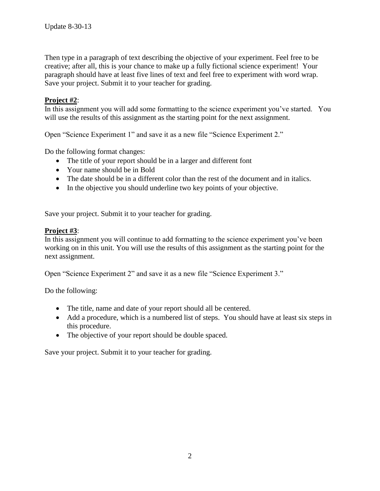Then type in a paragraph of text describing the objective of your experiment. Feel free to be creative; after all, this is your chance to make up a fully fictional science experiment! Your paragraph should have at least five lines of text and feel free to experiment with word wrap. Save your project. Submit it to your teacher for grading.

### **Project #2**:

In this assignment you will add some formatting to the science experiment you've started. You will use the results of this assignment as the starting point for the next assignment.

Open "Science Experiment 1" and save it as a new file "Science Experiment 2."

Do the following format changes:

- The title of your report should be in a larger and different font
- Your name should be in Bold
- The date should be in a different color than the rest of the document and in italics.
- In the objective you should underline two key points of your objective.

Save your project. Submit it to your teacher for grading.

#### **Project #3**:

In this assignment you will continue to add formatting to the science experiment you've been working on in this unit. You will use the results of this assignment as the starting point for the next assignment.

Open "Science Experiment 2" and save it as a new file "Science Experiment 3."

Do the following:

- The title, name and date of your report should all be centered.
- Add a procedure, which is a numbered list of steps. You should have at least six steps in this procedure.
- The objective of your report should be double spaced.

Save your project. Submit it to your teacher for grading.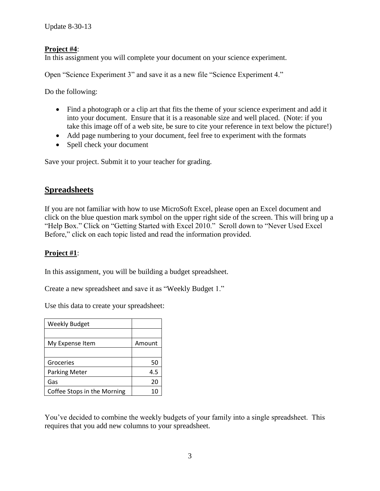### **Project #4**:

In this assignment you will complete your document on your science experiment.

Open "Science Experiment 3" and save it as a new file "Science Experiment 4."

Do the following:

- Find a photograph or a clip art that fits the theme of your science experiment and add it into your document. Ensure that it is a reasonable size and well placed. (Note: if you take this image off of a web site, be sure to cite your reference in text below the picture!)
- Add page numbering to your document, feel free to experiment with the formats
- Spell check your document

Save your project. Submit it to your teacher for grading.

## **Spreadsheets**

If you are not familiar with how to use MicroSoft Excel, please open an Excel document and click on the blue question mark symbol on the upper right side of the screen. This will bring up a "Help Box." Click on "Getting Started with Excel 2010." Scroll down to "Never Used Excel Before," click on each topic listed and read the information provided.

#### **Project #1**:

In this assignment, you will be building a budget spreadsheet.

Create a new spreadsheet and save it as "Weekly Budget 1."

Use this data to create your spreadsheet:

| <b>Weekly Budget</b>        |        |
|-----------------------------|--------|
|                             |        |
| My Expense Item             | Amount |
|                             |        |
| Groceries                   | 50     |
| <b>Parking Meter</b>        | 4.5    |
| Gas                         | 20     |
| Coffee Stops in the Morning |        |

You've decided to combine the weekly budgets of your family into a single spreadsheet. This requires that you add new columns to your spreadsheet.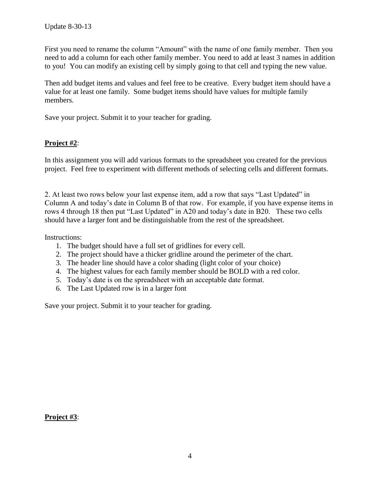First you need to rename the column "Amount" with the name of one family member. Then you need to add a column for each other family member. You need to add at least 3 names in addition to you! You can modify an existing cell by simply going to that cell and typing the new value.

Then add budget items and values and feel free to be creative. Every budget item should have a value for at least one family. Some budget items should have values for multiple family members.

Save your project. Submit it to your teacher for grading.

## **Project #2**:

In this assignment you will add various formats to the spreadsheet you created for the previous project. Feel free to experiment with different methods of selecting cells and different formats.

2. At least two rows below your last expense item, add a row that says "Last Updated" in Column A and today's date in Column B of that row. For example, if you have expense items in rows 4 through 18 then put "Last Updated" in A20 and today's date in B20. These two cells should have a larger font and be distinguishable from the rest of the spreadsheet.

Instructions:

- 1. The budget should have a full set of gridlines for every cell.
- 2. The project should have a thicker gridline around the perimeter of the chart.
- 3. The header line should have a color shading (light color of your choice)
- 4. The highest values for each family member should be BOLD with a red color.
- 5. Today's date is on the spreadsheet with an acceptable date format.
- 6. The Last Updated row is in a larger font

Save your project. Submit it to your teacher for grading.

**Project #3**: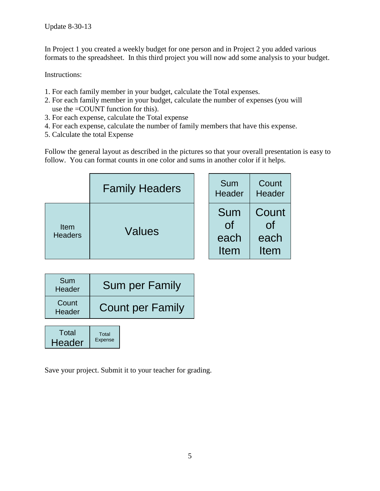In Project 1 you created a weekly budget for one person and in Project 2 you added various formats to the spreadsheet. In this third project you will now add some analysis to your budget.

Instructions:

- 1. For each family member in your budget, calculate the Total expenses.
- 2. For each family member in your budget, calculate the number of expenses (you will use the =COUNT function for this).
- 3. For each expense, calculate the Total expense
- 4. For each expense, calculate the number of family members that have this expense.
- 5. Calculate the total Expense

Follow the general layout as described in the pictures so that your overall presentation is easy to follow. You can format counts in one color and sums in another color if it helps.

|                        | <b>Family Headers</b> | Sum<br>Header                    | Count<br>Header             |
|------------------------|-----------------------|----------------------------------|-----------------------------|
| Item<br><b>Headers</b> | Values                | Sum<br>0f<br>each<br><b>Item</b> | Count<br>Οf<br>each<br>Item |

| Sum<br>Header   | <b>Sum per Family</b>   |
|-----------------|-------------------------|
| Count<br>Header | <b>Count per Family</b> |
|                 |                         |

Total Expense **Total Header** 

Save your project. Submit it to your teacher for grading.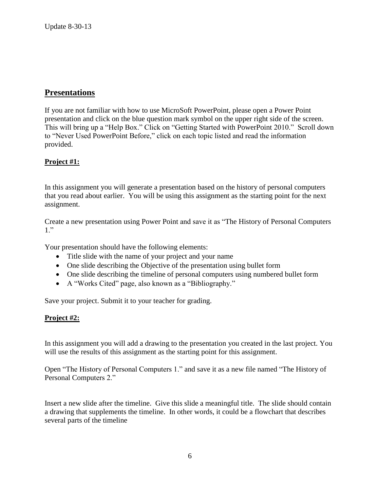# **Presentations**

If you are not familiar with how to use MicroSoft PowerPoint, please open a Power Point presentation and click on the blue question mark symbol on the upper right side of the screen. This will bring up a "Help Box." Click on "Getting Started with PowerPoint 2010." Scroll down to "Never Used PowerPoint Before," click on each topic listed and read the information provided.

## **Project #1:**

In this assignment you will generate a presentation based on the history of personal computers that you read about earlier. You will be using this assignment as the starting point for the next assignment.

Create a new presentation using Power Point and save it as "The History of Personal Computers 1."

Your presentation should have the following elements:

- Title slide with the name of your project and your name
- One slide describing the Objective of the presentation using bullet form
- One slide describing the timeline of personal computers using numbered bullet form
- A "Works Cited" page, also known as a "Bibliography."

Save your project. Submit it to your teacher for grading.

### **Project #2:**

In this assignment you will add a drawing to the presentation you created in the last project. You will use the results of this assignment as the starting point for this assignment.

Open "The History of Personal Computers 1." and save it as a new file named "The History of Personal Computers 2."

Insert a new slide after the timeline. Give this slide a meaningful title. The slide should contain a drawing that supplements the timeline. In other words, it could be a flowchart that describes several parts of the timeline